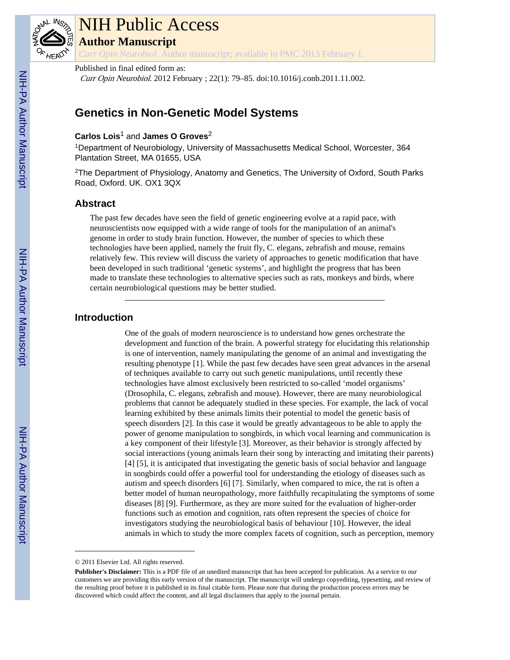

# NIH Public Access

**Author Manuscript**

*Curr Opin Neurobiol*. Author manuscript; available in PMC 2013 February 1.

#### Published in final edited form as:

Curr Opin Neurobiol. 2012 February ; 22(1): 79–85. doi:10.1016/j.conb.2011.11.002.

# **Genetics in Non-Genetic Model Systems**

### **Carlos Lois**1 and **James O Groves**<sup>2</sup>

<sup>1</sup>Department of Neurobiology, University of Massachusetts Medical School, Worcester, 364 Plantation Street, MA 01655, USA

<sup>2</sup>The Department of Physiology, Anatomy and Genetics, The University of Oxford, South Parks Road, Oxford. UK. OX1 3QX

## **Abstract**

The past few decades have seen the field of genetic engineering evolve at a rapid pace, with neuroscientists now equipped with a wide range of tools for the manipulation of an animal's genome in order to study brain function. However, the number of species to which these technologies have been applied, namely the fruit fly, C. elegans, zebrafish and mouse, remains relatively few. This review will discuss the variety of approaches to genetic modification that have been developed in such traditional 'genetic systems', and highlight the progress that has been made to translate these technologies to alternative species such as rats, monkeys and birds, where certain neurobiological questions may be better studied.

### **Introduction**

One of the goals of modern neuroscience is to understand how genes orchestrate the development and function of the brain. A powerful strategy for elucidating this relationship is one of intervention, namely manipulating the genome of an animal and investigating the resulting phenotype [1]. While the past few decades have seen great advances in the arsenal of techniques available to carry out such genetic manipulations, until recently these technologies have almost exclusively been restricted to so-called 'model organisms' (Drosophila, C. elegans, zebrafish and mouse). However, there are many neurobiological problems that cannot be adequately studied in these species. For example, the lack of vocal learning exhibited by these animals limits their potential to model the genetic basis of speech disorders [2]. In this case it would be greatly advantageous to be able to apply the power of genome manipulation to songbirds, in which vocal learning and communication is a key component of their lifestyle [3]. Moreover, as their behavior is strongly affected by social interactions (young animals learn their song by interacting and imitating their parents) [4] [5], it is anticipated that investigating the genetic basis of social behavior and language in songbirds could offer a powerful tool for understanding the etiology of diseases such as autism and speech disorders [6] [7]. Similarly, when compared to mice, the rat is often a better model of human neuropathology, more faithfully recapitulating the symptoms of some diseases [8] [9]. Furthermore, as they are more suited for the evaluation of higher-order functions such as emotion and cognition, rats often represent the species of choice for investigators studying the neurobiological basis of behaviour [10]. However, the ideal animals in which to study the more complex facets of cognition, such as perception, memory

<sup>© 2011</sup> Elsevier Ltd. All rights reserved.

**Publisher's Disclaimer:** This is a PDF file of an unedited manuscript that has been accepted for publication. As a service to our customers we are providing this early version of the manuscript. The manuscript will undergo copyediting, typesetting, and review of the resulting proof before it is published in its final citable form. Please note that during the production process errors may be discovered which could affect the content, and all legal disclaimers that apply to the journal pertain.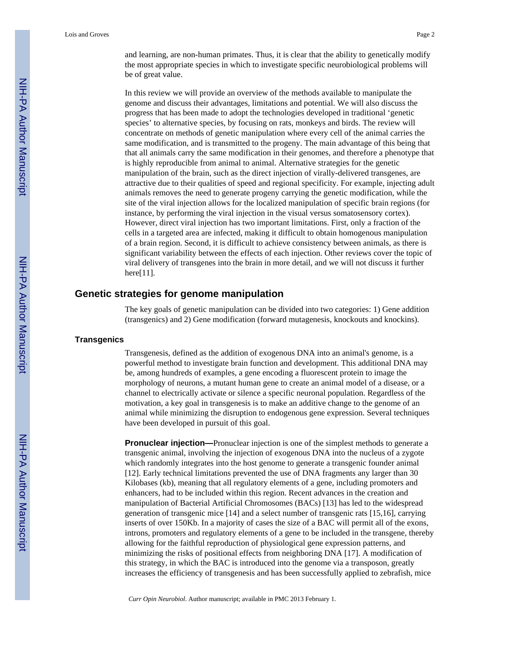and learning, are non-human primates. Thus, it is clear that the ability to genetically modify the most appropriate species in which to investigate specific neurobiological problems will be of great value.

In this review we will provide an overview of the methods available to manipulate the genome and discuss their advantages, limitations and potential. We will also discuss the progress that has been made to adopt the technologies developed in traditional 'genetic species' to alternative species, by focusing on rats, monkeys and birds. The review will concentrate on methods of genetic manipulation where every cell of the animal carries the same modification, and is transmitted to the progeny. The main advantage of this being that that all animals carry the same modification in their genomes, and therefore a phenotype that is highly reproducible from animal to animal. Alternative strategies for the genetic manipulation of the brain, such as the direct injection of virally-delivered transgenes, are attractive due to their qualities of speed and regional specificity. For example, injecting adult animals removes the need to generate progeny carrying the genetic modification, while the site of the viral injection allows for the localized manipulation of specific brain regions (for instance, by performing the viral injection in the visual versus somatosensory cortex). However, direct viral injection has two important limitations. First, only a fraction of the cells in a targeted area are infected, making it difficult to obtain homogenous manipulation of a brain region. Second, it is difficult to achieve consistency between animals, as there is significant variability between the effects of each injection. Other reviews cover the topic of viral delivery of transgenes into the brain in more detail, and we will not discuss it further here $[11]$ .

#### **Genetic strategies for genome manipulation**

The key goals of genetic manipulation can be divided into two categories: 1) Gene addition (transgenics) and 2) Gene modification (forward mutagenesis, knockouts and knockins).

#### **Transgenics**

Transgenesis, defined as the addition of exogenous DNA into an animal's genome, is a powerful method to investigate brain function and development. This additional DNA may be, among hundreds of examples, a gene encoding a fluorescent protein to image the morphology of neurons, a mutant human gene to create an animal model of a disease, or a channel to electrically activate or silence a specific neuronal population. Regardless of the motivation, a key goal in transgenesis is to make an additive change to the genome of an animal while minimizing the disruption to endogenous gene expression. Several techniques have been developed in pursuit of this goal.

**Pronuclear injection—**Pronuclear injection is one of the simplest methods to generate a transgenic animal, involving the injection of exogenous DNA into the nucleus of a zygote which randomly integrates into the host genome to generate a transgenic founder animal [12]. Early technical limitations prevented the use of DNA fragments any larger than 30 Kilobases (kb), meaning that all regulatory elements of a gene, including promoters and enhancers, had to be included within this region. Recent advances in the creation and manipulation of Bacterial Artificial Chromosomes (BACs) [13] has led to the widespread generation of transgenic mice [14] and a select number of transgenic rats [15,16], carrying inserts of over 150Kb. In a majority of cases the size of a BAC will permit all of the exons, introns, promoters and regulatory elements of a gene to be included in the transgene, thereby allowing for the faithful reproduction of physiological gene expression patterns, and minimizing the risks of positional effects from neighboring DNA [17]. A modification of this strategy, in which the BAC is introduced into the genome via a transposon, greatly increases the efficiency of transgenesis and has been successfully applied to zebrafish, mice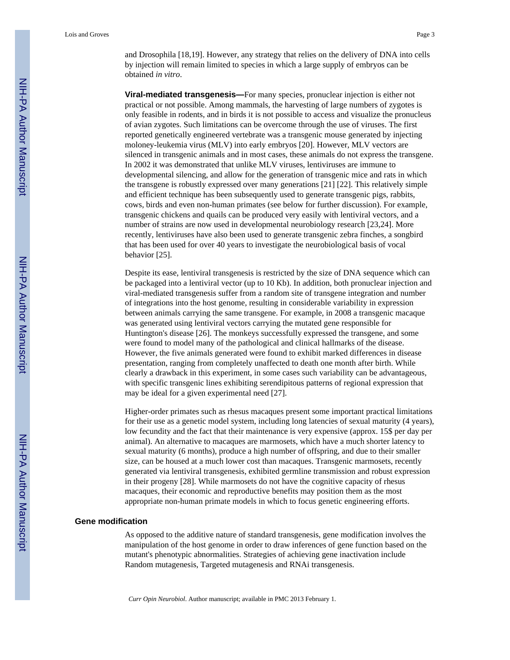Lois and Groves Page 3

**Viral-mediated transgenesis—**For many species, pronuclear injection is either not practical or not possible. Among mammals, the harvesting of large numbers of zygotes is only feasible in rodents, and in birds it is not possible to access and visualize the pronucleus of avian zygotes. Such limitations can be overcome through the use of viruses. The first reported genetically engineered vertebrate was a transgenic mouse generated by injecting moloney-leukemia virus (MLV) into early embryos [20]. However, MLV vectors are silenced in transgenic animals and in most cases, these animals do not express the transgene. In 2002 it was demonstrated that unlike MLV viruses, lentiviruses are immune to developmental silencing, and allow for the generation of transgenic mice and rats in which the transgene is robustly expressed over many generations [21] [22]. This relatively simple and efficient technique has been subsequently used to generate transgenic pigs, rabbits, cows, birds and even non-human primates (see below for further discussion). For example, transgenic chickens and quails can be produced very easily with lentiviral vectors, and a number of strains are now used in developmental neurobiology research [23,24]. More recently, lentiviruses have also been used to generate transgenic zebra finches, a songbird that has been used for over 40 years to investigate the neurobiological basis of vocal behavior [25].

Despite its ease, lentiviral transgenesis is restricted by the size of DNA sequence which can be packaged into a lentiviral vector (up to 10 Kb). In addition, both pronuclear injection and viral-mediated transgenesis suffer from a random site of transgene integration and number of integrations into the host genome, resulting in considerable variability in expression between animals carrying the same transgene. For example, in 2008 a transgenic macaque was generated using lentiviral vectors carrying the mutated gene responsible for Huntington's disease [26]. The monkeys successfully expressed the transgene, and some were found to model many of the pathological and clinical hallmarks of the disease. However, the five animals generated were found to exhibit marked differences in disease presentation, ranging from completely unaffected to death one month after birth. While clearly a drawback in this experiment, in some cases such variability can be advantageous, with specific transgenic lines exhibiting serendipitous patterns of regional expression that may be ideal for a given experimental need [27].

Higher-order primates such as rhesus macaques present some important practical limitations for their use as a genetic model system, including long latencies of sexual maturity (4 years), low fecundity and the fact that their maintenance is very expensive (approx. 15\$ per day per animal). An alternative to macaques are marmosets, which have a much shorter latency to sexual maturity (6 months), produce a high number of offspring, and due to their smaller size, can be housed at a much lower cost than macaques. Transgenic marmosets, recently generated via lentiviral transgenesis, exhibited germline transmission and robust expression in their progeny [28]. While marmosets do not have the cognitive capacity of rhesus macaques, their economic and reproductive benefits may position them as the most appropriate non-human primate models in which to focus genetic engineering efforts.

#### **Gene modification**

As opposed to the additive nature of standard transgenesis, gene modification involves the manipulation of the host genome in order to draw inferences of gene function based on the mutant's phenotypic abnormalities. Strategies of achieving gene inactivation include Random mutagenesis, Targeted mutagenesis and RNAi transgenesis.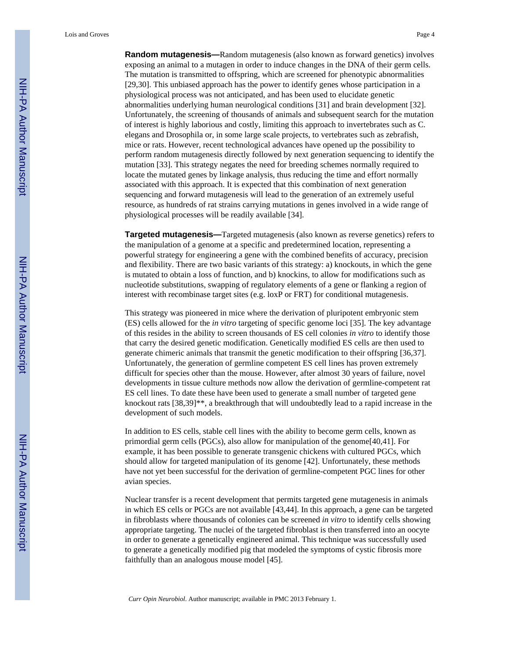**Random mutagenesis—**Random mutagenesis (also known as forward genetics) involves exposing an animal to a mutagen in order to induce changes in the DNA of their germ cells. The mutation is transmitted to offspring, which are screened for phenotypic abnormalities [29,30]. This unbiased approach has the power to identify genes whose participation in a physiological process was not anticipated, and has been used to elucidate genetic abnormalities underlying human neurological conditions [31] and brain development [32]. Unfortunately, the screening of thousands of animals and subsequent search for the mutation of interest is highly laborious and costly, limiting this approach to invertebrates such as C. elegans and Drosophila or, in some large scale projects, to vertebrates such as zebrafish, mice or rats. However, recent technological advances have opened up the possibility to perform random mutagenesis directly followed by next generation sequencing to identify the mutation [33]. This strategy negates the need for breeding schemes normally required to locate the mutated genes by linkage analysis, thus reducing the time and effort normally associated with this approach. It is expected that this combination of next generation sequencing and forward mutagenesis will lead to the generation of an extremely useful resource, as hundreds of rat strains carrying mutations in genes involved in a wide range of

**Targeted mutagenesis—**Targeted mutagenesis (also known as reverse genetics) refers to the manipulation of a genome at a specific and predetermined location, representing a powerful strategy for engineering a gene with the combined benefits of accuracy, precision and flexibility. There are two basic variants of this strategy: a) knockouts, in which the gene is mutated to obtain a loss of function, and b) knockins, to allow for modifications such as nucleotide substitutions, swapping of regulatory elements of a gene or flanking a region of interest with recombinase target sites (e.g. loxP or FRT) for conditional mutagenesis.

physiological processes will be readily available [34].

This strategy was pioneered in mice where the derivation of pluripotent embryonic stem (ES) cells allowed for the *in vitro* targeting of specific genome loci [35]. The key advantage of this resides in the ability to screen thousands of ES cell colonies *in vitro* to identify those that carry the desired genetic modification. Genetically modified ES cells are then used to generate chimeric animals that transmit the genetic modification to their offspring [36,37]. Unfortunately, the generation of germline competent ES cell lines has proven extremely difficult for species other than the mouse. However, after almost 30 years of failure, novel developments in tissue culture methods now allow the derivation of germline-competent rat ES cell lines. To date these have been used to generate a small number of targeted gene knockout rats [38,39]\*\*, a breakthrough that will undoubtedly lead to a rapid increase in the development of such models.

In addition to ES cells, stable cell lines with the ability to become germ cells, known as primordial germ cells (PGCs), also allow for manipulation of the genome[40,41]. For example, it has been possible to generate transgenic chickens with cultured PGCs, which should allow for targeted manipulation of its genome [42]. Unfortunately, these methods have not yet been successful for the derivation of germline-competent PGC lines for other avian species.

Nuclear transfer is a recent development that permits targeted gene mutagenesis in animals in which ES cells or PGCs are not available [43,44]. In this approach, a gene can be targeted in fibroblasts where thousands of colonies can be screened *in vitro* to identify cells showing appropriate targeting. The nuclei of the targeted fibroblast is then transferred into an oocyte in order to generate a genetically engineered animal. This technique was successfully used to generate a genetically modified pig that modeled the symptoms of cystic fibrosis more faithfully than an analogous mouse model [45].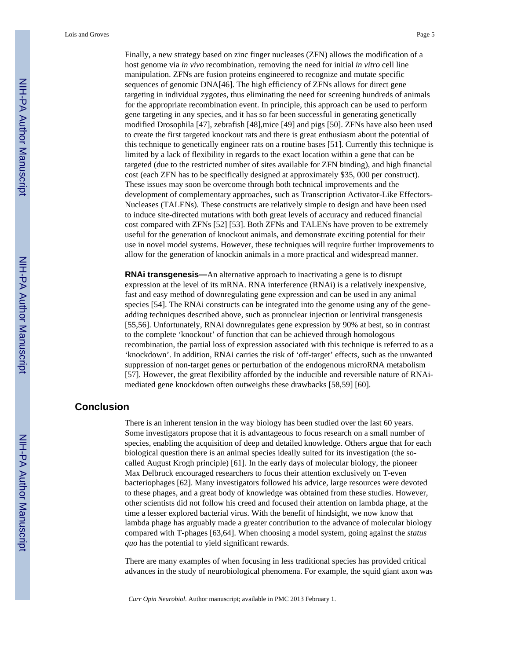Finally, a new strategy based on zinc finger nucleases (ZFN) allows the modification of a host genome via *in vivo* recombination, removing the need for initial *in vitro* cell line manipulation. ZFNs are fusion proteins engineered to recognize and mutate specific sequences of genomic DNA[46]. The high efficiency of ZFNs allows for direct gene targeting in individual zygotes, thus eliminating the need for screening hundreds of animals for the appropriate recombination event. In principle, this approach can be used to perform gene targeting in any species, and it has so far been successful in generating genetically modified Drosophila [47], zebrafish [48],mice [49] and pigs [50]. ZFNs have also been used to create the first targeted knockout rats and there is great enthusiasm about the potential of this technique to genetically engineer rats on a routine bases [51]. Currently this technique is limited by a lack of flexibility in regards to the exact location within a gene that can be targeted (due to the restricted number of sites available for ZFN binding), and high financial cost (each ZFN has to be specifically designed at approximately \$35, 000 per construct). These issues may soon be overcome through both technical improvements and the development of complementary approaches, such as Transcription Activator-Like Effectors-Nucleases (TALENs). These constructs are relatively simple to design and have been used to induce site-directed mutations with both great levels of accuracy and reduced financial cost compared with ZFNs [52] [53]. Both ZFNs and TALENs have proven to be extremely useful for the generation of knockout animals, and demonstrate exciting potential for their use in novel model systems. However, these techniques will require further improvements to allow for the generation of knockin animals in a more practical and widespread manner.

**RNAi transgenesis—**An alternative approach to inactivating a gene is to disrupt expression at the level of its mRNA. RNA interference (RNAi) is a relatively inexpensive, fast and easy method of downregulating gene expression and can be used in any animal species [54]. The RNAi constructs can be integrated into the genome using any of the geneadding techniques described above, such as pronuclear injection or lentiviral transgenesis [55,56]. Unfortunately, RNAi downregulates gene expression by 90% at best, so in contrast to the complete 'knockout' of function that can be achieved through homologous recombination, the partial loss of expression associated with this technique is referred to as a 'knockdown'. In addition, RNAi carries the risk of 'off-target' effects, such as the unwanted suppression of non-target genes or perturbation of the endogenous microRNA metabolism [57]. However, the great flexibility afforded by the inducible and reversible nature of RNAimediated gene knockdown often outweighs these drawbacks [58,59] [60].

#### **Conclusion**

There is an inherent tension in the way biology has been studied over the last 60 years. Some investigators propose that it is advantageous to focus research on a small number of species, enabling the acquisition of deep and detailed knowledge. Others argue that for each biological question there is an animal species ideally suited for its investigation (the socalled August Krogh principle) [61]. In the early days of molecular biology, the pioneer Max Delbruck encouraged researchers to focus their attention exclusively on T-even bacteriophages [62]. Many investigators followed his advice, large resources were devoted to these phages, and a great body of knowledge was obtained from these studies. However, other scientists did not follow his creed and focused their attention on lambda phage, at the time a lesser explored bacterial virus. With the benefit of hindsight, we now know that lambda phage has arguably made a greater contribution to the advance of molecular biology compared with T-phages [63,64]. When choosing a model system, going against the *status quo* has the potential to yield significant rewards.

There are many examples of when focusing in less traditional species has provided critical advances in the study of neurobiological phenomena. For example, the squid giant axon was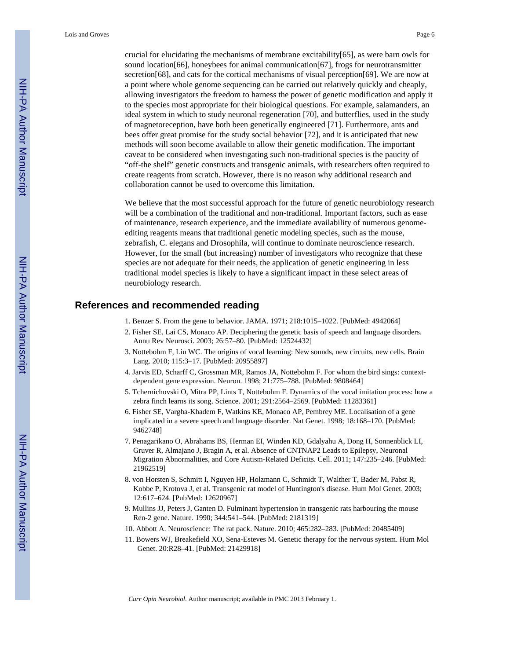crucial for elucidating the mechanisms of membrane excitability $[65]$ , as were barn owls for sound location[66], honeybees for animal communication[67], frogs for neurotransmitter secretion[68], and cats for the cortical mechanisms of visual perception[69]. We are now at a point where whole genome sequencing can be carried out relatively quickly and cheaply, allowing investigators the freedom to harness the power of genetic modification and apply it to the species most appropriate for their biological questions. For example, salamanders, an ideal system in which to study neuronal regeneration [70], and butterflies, used in the study of magnetoreception, have both been genetically engineered [71]. Furthermore, ants and bees offer great promise for the study social behavior [72], and it is anticipated that new methods will soon become available to allow their genetic modification. The important caveat to be considered when investigating such non-traditional species is the paucity of "off-the shelf" genetic constructs and transgenic animals, with researchers often required to create reagents from scratch. However, there is no reason why additional research and collaboration cannot be used to overcome this limitation.

We believe that the most successful approach for the future of genetic neurobiology research will be a combination of the traditional and non-traditional. Important factors, such as ease of maintenance, research experience, and the immediate availability of numerous genomeediting reagents means that traditional genetic modeling species, such as the mouse, zebrafish, C. elegans and Drosophila, will continue to dominate neuroscience research. However, for the small (but increasing) number of investigators who recognize that these species are not adequate for their needs, the application of genetic engineering in less traditional model species is likely to have a significant impact in these select areas of neurobiology research.

#### **References and recommended reading**

- 1. Benzer S. From the gene to behavior. JAMA. 1971; 218:1015–1022. [PubMed: 4942064]
- 2. Fisher SE, Lai CS, Monaco AP. Deciphering the genetic basis of speech and language disorders. Annu Rev Neurosci. 2003; 26:57–80. [PubMed: 12524432]
- 3. Nottebohm F, Liu WC. The origins of vocal learning: New sounds, new circuits, new cells. Brain Lang. 2010; 115:3–17. [PubMed: 20955897]
- 4. Jarvis ED, Scharff C, Grossman MR, Ramos JA, Nottebohm F. For whom the bird sings: contextdependent gene expression. Neuron. 1998; 21:775–788. [PubMed: 9808464]
- 5. Tchernichovski O, Mitra PP, Lints T, Nottebohm F. Dynamics of the vocal imitation process: how a zebra finch learns its song. Science. 2001; 291:2564–2569. [PubMed: 11283361]
- 6. Fisher SE, Vargha-Khadem F, Watkins KE, Monaco AP, Pembrey ME. Localisation of a gene implicated in a severe speech and language disorder. Nat Genet. 1998; 18:168–170. [PubMed: 9462748]
- 7. Penagarikano O, Abrahams BS, Herman EI, Winden KD, Gdalyahu A, Dong H, Sonnenblick LI, Gruver R, Almajano J, Bragin A, et al. Absence of CNTNAP2 Leads to Epilepsy, Neuronal Migration Abnormalities, and Core Autism-Related Deficits. Cell. 2011; 147:235–246. [PubMed: 21962519]
- 8. von Horsten S, Schmitt I, Nguyen HP, Holzmann C, Schmidt T, Walther T, Bader M, Pabst R, Kobbe P, Krotova J, et al. Transgenic rat model of Huntington's disease. Hum Mol Genet. 2003; 12:617–624. [PubMed: 12620967]
- 9. Mullins JJ, Peters J, Ganten D. Fulminant hypertension in transgenic rats harbouring the mouse Ren-2 gene. Nature. 1990; 344:541–544. [PubMed: 2181319]
- 10. Abbott A. Neuroscience: The rat pack. Nature. 2010; 465:282–283. [PubMed: 20485409]
- 11. Bowers WJ, Breakefield XO, Sena-Esteves M. Genetic therapy for the nervous system. Hum Mol Genet. 20:R28–41. [PubMed: 21429918]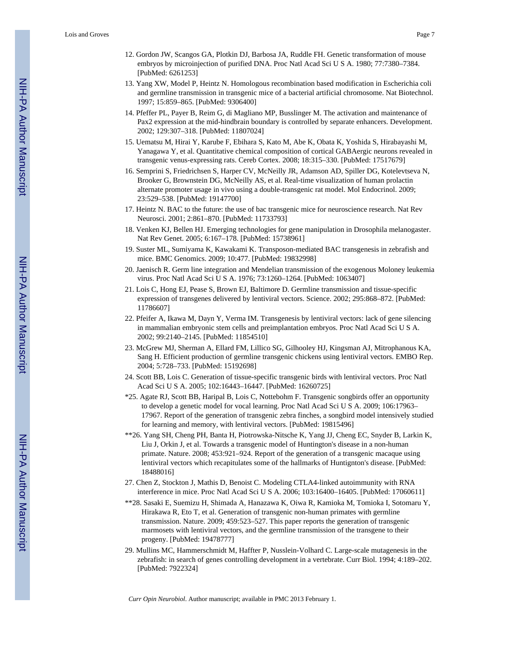- 12. Gordon JW, Scangos GA, Plotkin DJ, Barbosa JA, Ruddle FH. Genetic transformation of mouse embryos by microinjection of purified DNA. Proc Natl Acad Sci U S A. 1980; 77:7380–7384. [PubMed: 6261253]
- 13. Yang XW, Model P, Heintz N. Homologous recombination based modification in Escherichia coli and germline transmission in transgenic mice of a bacterial artificial chromosome. Nat Biotechnol. 1997; 15:859–865. [PubMed: 9306400]
- 14. Pfeffer PL, Payer B, Reim G, di Magliano MP, Busslinger M. The activation and maintenance of Pax2 expression at the mid-hindbrain boundary is controlled by separate enhancers. Development. 2002; 129:307–318. [PubMed: 11807024]
- 15. Uematsu M, Hirai Y, Karube F, Ebihara S, Kato M, Abe K, Obata K, Yoshida S, Hirabayashi M, Yanagawa Y, et al. Quantitative chemical composition of cortical GABAergic neurons revealed in transgenic venus-expressing rats. Cereb Cortex. 2008; 18:315–330. [PubMed: 17517679]
- 16. Semprini S, Friedrichsen S, Harper CV, McNeilly JR, Adamson AD, Spiller DG, Kotelevtseva N, Brooker G, Brownstein DG, McNeilly AS, et al. Real-time visualization of human prolactin alternate promoter usage in vivo using a double-transgenic rat model. Mol Endocrinol. 2009; 23:529–538. [PubMed: 19147700]
- 17. Heintz N. BAC to the future: the use of bac transgenic mice for neuroscience research. Nat Rev Neurosci. 2001; 2:861–870. [PubMed: 11733793]
- 18. Venken KJ, Bellen HJ. Emerging technologies for gene manipulation in Drosophila melanogaster. Nat Rev Genet. 2005; 6:167–178. [PubMed: 15738961]
- 19. Suster ML, Sumiyama K, Kawakami K. Transposon-mediated BAC transgenesis in zebrafish and mice. BMC Genomics. 2009; 10:477. [PubMed: 19832998]
- 20. Jaenisch R. Germ line integration and Mendelian transmission of the exogenous Moloney leukemia virus. Proc Natl Acad Sci U S A. 1976; 73:1260–1264. [PubMed: 1063407]
- 21. Lois C, Hong EJ, Pease S, Brown EJ, Baltimore D. Germline transmission and tissue-specific expression of transgenes delivered by lentiviral vectors. Science. 2002; 295:868–872. [PubMed: 11786607]
- 22. Pfeifer A, Ikawa M, Dayn Y, Verma IM. Transgenesis by lentiviral vectors: lack of gene silencing in mammalian embryonic stem cells and preimplantation embryos. Proc Natl Acad Sci U S A. 2002; 99:2140–2145. [PubMed: 11854510]
- 23. McGrew MJ, Sherman A, Ellard FM, Lillico SG, Gilhooley HJ, Kingsman AJ, Mitrophanous KA, Sang H. Efficient production of germline transgenic chickens using lentiviral vectors. EMBO Rep. 2004; 5:728–733. [PubMed: 15192698]
- 24. Scott BB, Lois C. Generation of tissue-specific transgenic birds with lentiviral vectors. Proc Natl Acad Sci U S A. 2005; 102:16443–16447. [PubMed: 16260725]
- \*25. Agate RJ, Scott BB, Haripal B, Lois C, Nottebohm F. Transgenic songbirds offer an opportunity to develop a genetic model for vocal learning. Proc Natl Acad Sci U S A. 2009; 106:17963– 17967. Report of the generation of transgenic zebra finches, a songbird model intensively studied for learning and memory, with lentiviral vectors. [PubMed: 19815496]
- \*\*26. Yang SH, Cheng PH, Banta H, Piotrowska-Nitsche K, Yang JJ, Cheng EC, Snyder B, Larkin K, Liu J, Orkin J, et al. Towards a transgenic model of Huntington's disease in a non-human primate. Nature. 2008; 453:921–924. Report of the generation of a transgenic macaque using lentiviral vectors which recapitulates some of the hallmarks of Huntignton's disease. [PubMed: 18488016]
- 27. Chen Z, Stockton J, Mathis D, Benoist C. Modeling CTLA4-linked autoimmunity with RNA interference in mice. Proc Natl Acad Sci U S A. 2006; 103:16400–16405. [PubMed: 17060611]
- \*\*28. Sasaki E, Suemizu H, Shimada A, Hanazawa K, Oiwa R, Kamioka M, Tomioka I, Sotomaru Y, Hirakawa R, Eto T, et al. Generation of transgenic non-human primates with germline transmission. Nature. 2009; 459:523–527. This paper reports the generation of transgenic marmosets with lentiviral vectors, and the germline transmission of the transgene to their progeny. [PubMed: 19478777]
- 29. Mullins MC, Hammerschmidt M, Haffter P, Nusslein-Volhard C. Large-scale mutagenesis in the zebrafish: in search of genes controlling development in a vertebrate. Curr Biol. 1994; 4:189–202. [PubMed: 7922324]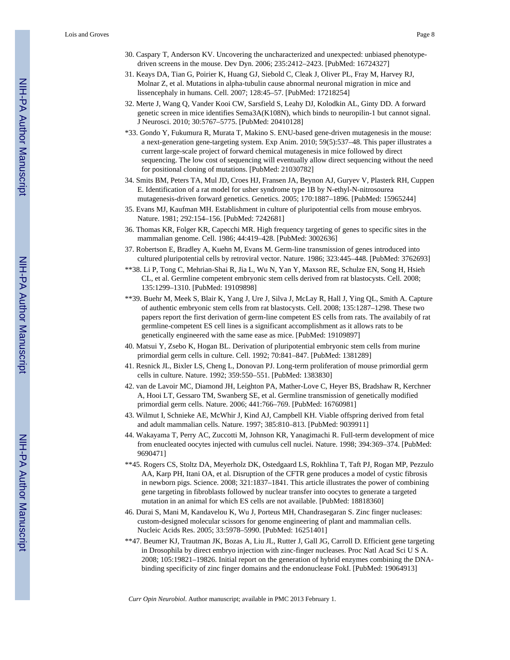- 30. Caspary T, Anderson KV. Uncovering the uncharacterized and unexpected: unbiased phenotypedriven screens in the mouse. Dev Dyn. 2006; 235:2412–2423. [PubMed: 16724327]
- 31. Keays DA, Tian G, Poirier K, Huang GJ, Siebold C, Cleak J, Oliver PL, Fray M, Harvey RJ, Molnar Z, et al. Mutations in alpha-tubulin cause abnormal neuronal migration in mice and lissencephaly in humans. Cell. 2007; 128:45–57. [PubMed: 17218254]
- 32. Merte J, Wang Q, Vander Kooi CW, Sarsfield S, Leahy DJ, Kolodkin AL, Ginty DD. A forward genetic screen in mice identifies Sema3A(K108N), which binds to neuropilin-1 but cannot signal. J Neurosci. 2010; 30:5767–5775. [PubMed: 20410128]
- \*33. Gondo Y, Fukumura R, Murata T, Makino S. ENU-based gene-driven mutagenesis in the mouse: a next-generation gene-targeting system. Exp Anim. 2010; 59(5):537–48. This paper illustrates a current large-scale project of forward chemical mutagenesis in mice followed by direct sequencing. The low cost of sequencing will eventually allow direct sequencing without the need for positional cloning of mutations. [PubMed: 21030782]
- 34. Smits BM, Peters TA, Mul JD, Croes HJ, Fransen JA, Beynon AJ, Guryev V, Plasterk RH, Cuppen E. Identification of a rat model for usher syndrome type 1B by N-ethyl-N-nitrosourea mutagenesis-driven forward genetics. Genetics. 2005; 170:1887–1896. [PubMed: 15965244]
- 35. Evans MJ, Kaufman MH. Establishment in culture of pluripotential cells from mouse embryos. Nature. 1981; 292:154–156. [PubMed: 7242681]
- 36. Thomas KR, Folger KR, Capecchi MR. High frequency targeting of genes to specific sites in the mammalian genome. Cell. 1986; 44:419–428. [PubMed: 3002636]
- 37. Robertson E, Bradley A, Kuehn M, Evans M. Germ-line transmission of genes introduced into cultured pluripotential cells by retroviral vector. Nature. 1986; 323:445–448. [PubMed: 3762693]
- \*\*38. Li P, Tong C, Mehrian-Shai R, Jia L, Wu N, Yan Y, Maxson RE, Schulze EN, Song H, Hsieh CL, et al. Germline competent embryonic stem cells derived from rat blastocysts. Cell. 2008; 135:1299–1310. [PubMed: 19109898]
- \*\*39. Buehr M, Meek S, Blair K, Yang J, Ure J, Silva J, McLay R, Hall J, Ying QL, Smith A. Capture of authentic embryonic stem cells from rat blastocysts. Cell. 2008; 135:1287–1298. These two papers report the first derivation of germ-line competent ES cells from rats. The availabily of rat germline-competent ES cell lines is a significant accomplishment as it allows rats to be genetically engineered with the same ease as mice. [PubMed: 19109897]
- 40. Matsui Y, Zsebo K, Hogan BL. Derivation of pluripotential embryonic stem cells from murine primordial germ cells in culture. Cell. 1992; 70:841–847. [PubMed: 1381289]
- 41. Resnick JL, Bixler LS, Cheng L, Donovan PJ. Long-term proliferation of mouse primordial germ cells in culture. Nature. 1992; 359:550–551. [PubMed: 1383830]
- 42. van de Lavoir MC, Diamond JH, Leighton PA, Mather-Love C, Heyer BS, Bradshaw R, Kerchner A, Hooi LT, Gessaro TM, Swanberg SE, et al. Germline transmission of genetically modified primordial germ cells. Nature. 2006; 441:766–769. [PubMed: 16760981]
- 43. Wilmut I, Schnieke AE, McWhir J, Kind AJ, Campbell KH. Viable offspring derived from fetal and adult mammalian cells. Nature. 1997; 385:810–813. [PubMed: 9039911]
- 44. Wakayama T, Perry AC, Zuccotti M, Johnson KR, Yanagimachi R. Full-term development of mice from enucleated oocytes injected with cumulus cell nuclei. Nature. 1998; 394:369–374. [PubMed: 9690471]
- \*\*45. Rogers CS, Stoltz DA, Meyerholz DK, Ostedgaard LS, Rokhlina T, Taft PJ, Rogan MP, Pezzulo AA, Karp PH, Itani OA, et al. Disruption of the CFTR gene produces a model of cystic fibrosis in newborn pigs. Science. 2008; 321:1837–1841. This article illustrates the power of combining gene targeting in fibroblasts followed by nuclear transfer into oocytes to generate a targeted mutation in an animal for which ES cells are not available. [PubMed: 18818360]
- 46. Durai S, Mani M, Kandavelou K, Wu J, Porteus MH, Chandrasegaran S. Zinc finger nucleases: custom-designed molecular scissors for genome engineering of plant and mammalian cells. Nucleic Acids Res. 2005; 33:5978–5990. [PubMed: 16251401]
- \*\*47. Beumer KJ, Trautman JK, Bozas A, Liu JL, Rutter J, Gall JG, Carroll D. Efficient gene targeting in Drosophila by direct embryo injection with zinc-finger nucleases. Proc Natl Acad Sci U S A. 2008; 105:19821–19826. Initial report on the generation of hybrid enzymes combining the DNAbinding specificity of zinc finger domains and the endonuclease FokI. [PubMed: 19064913]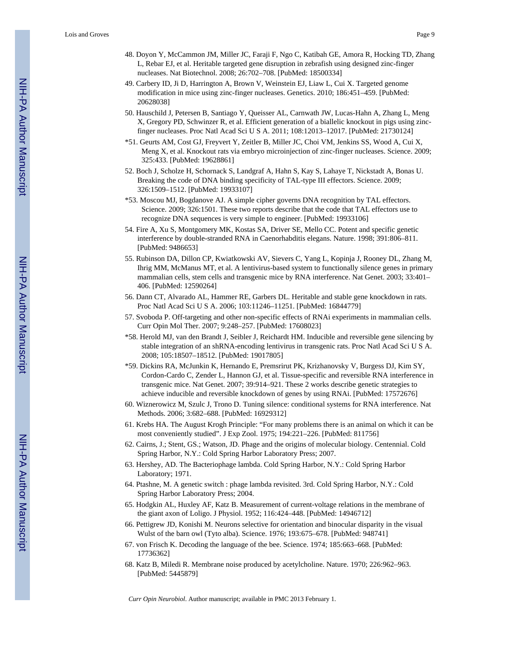- 48. Doyon Y, McCammon JM, Miller JC, Faraji F, Ngo C, Katibah GE, Amora R, Hocking TD, Zhang L, Rebar EJ, et al. Heritable targeted gene disruption in zebrafish using designed zinc-finger nucleases. Nat Biotechnol. 2008; 26:702–708. [PubMed: 18500334]
- 49. Carbery ID, Ji D, Harrington A, Brown V, Weinstein EJ, Liaw L, Cui X. Targeted genome modification in mice using zinc-finger nucleases. Genetics. 2010; 186:451–459. [PubMed: 20628038]
- 50. Hauschild J, Petersen B, Santiago Y, Queisser AL, Carnwath JW, Lucas-Hahn A, Zhang L, Meng X, Gregory PD, Schwinzer R, et al. Efficient generation of a biallelic knockout in pigs using zincfinger nucleases. Proc Natl Acad Sci U S A. 2011; 108:12013–12017. [PubMed: 21730124]
- \*51. Geurts AM, Cost GJ, Freyvert Y, Zeitler B, Miller JC, Choi VM, Jenkins SS, Wood A, Cui X, Meng X, et al. Knockout rats via embryo microinjection of zinc-finger nucleases. Science. 2009; 325:433. [PubMed: 19628861]
- 52. Boch J, Scholze H, Schornack S, Landgraf A, Hahn S, Kay S, Lahaye T, Nickstadt A, Bonas U. Breaking the code of DNA binding specificity of TAL-type III effectors. Science. 2009; 326:1509–1512. [PubMed: 19933107]
- \*53. Moscou MJ, Bogdanove AJ. A simple cipher governs DNA recognition by TAL effectors. Science. 2009; 326:1501. These two reports describe that the code that TAL effectors use to recognize DNA sequences is very simple to engineer. [PubMed: 19933106]
- 54. Fire A, Xu S, Montgomery MK, Kostas SA, Driver SE, Mello CC. Potent and specific genetic interference by double-stranded RNA in Caenorhabditis elegans. Nature. 1998; 391:806–811. [PubMed: 9486653]
- 55. Rubinson DA, Dillon CP, Kwiatkowski AV, Sievers C, Yang L, Kopinja J, Rooney DL, Zhang M, Ihrig MM, McManus MT, et al. A lentivirus-based system to functionally silence genes in primary mammalian cells, stem cells and transgenic mice by RNA interference. Nat Genet. 2003; 33:401– 406. [PubMed: 12590264]
- 56. Dann CT, Alvarado AL, Hammer RE, Garbers DL. Heritable and stable gene knockdown in rats. Proc Natl Acad Sci U S A. 2006; 103:11246–11251. [PubMed: 16844779]
- 57. Svoboda P. Off-targeting and other non-specific effects of RNAi experiments in mammalian cells. Curr Opin Mol Ther. 2007; 9:248–257. [PubMed: 17608023]
- \*58. Herold MJ, van den Brandt J, Seibler J, Reichardt HM. Inducible and reversible gene silencing by stable integration of an shRNA-encoding lentivirus in transgenic rats. Proc Natl Acad Sci U S A. 2008; 105:18507–18512. [PubMed: 19017805]
- \*59. Dickins RA, McJunkin K, Hernando E, Premsrirut PK, Krizhanovsky V, Burgess DJ, Kim SY, Cordon-Cardo C, Zender L, Hannon GJ, et al. Tissue-specific and reversible RNA interference in transgenic mice. Nat Genet. 2007; 39:914–921. These 2 works describe genetic strategies to achieve inducible and reversible knockdown of genes by using RNAi. [PubMed: 17572676]
- 60. Wiznerowicz M, Szulc J, Trono D. Tuning silence: conditional systems for RNA interference. Nat Methods. 2006; 3:682–688. [PubMed: 16929312]
- 61. Krebs HA. The August Krogh Principle: "For many problems there is an animal on which it can be most conveniently studied". J Exp Zool. 1975; 194:221–226. [PubMed: 811756]
- 62. Cairns, J.; Stent, GS.; Watson, JD. Phage and the origins of molecular biology. Centennial. Cold Spring Harbor, N.Y.: Cold Spring Harbor Laboratory Press; 2007.
- 63. Hershey, AD. The Bacteriophage lambda. Cold Spring Harbor, N.Y.: Cold Spring Harbor Laboratory; 1971.
- 64. Ptashne, M. A genetic switch : phage lambda revisited. 3rd. Cold Spring Harbor, N.Y.: Cold Spring Harbor Laboratory Press; 2004.
- 65. Hodgkin AL, Huxley AF, Katz B. Measurement of current-voltage relations in the membrane of the giant axon of Loligo. J Physiol. 1952; 116:424–448. [PubMed: 14946712]
- 66. Pettigrew JD, Konishi M. Neurons selective for orientation and binocular disparity in the visual Wulst of the barn owl (Tyto alba). Science. 1976; 193:675–678. [PubMed: 948741]
- 67. von Frisch K. Decoding the language of the bee. Science. 1974; 185:663–668. [PubMed: 17736362]
- 68. Katz B, Miledi R. Membrane noise produced by acetylcholine. Nature. 1970; 226:962–963. [PubMed: 5445879]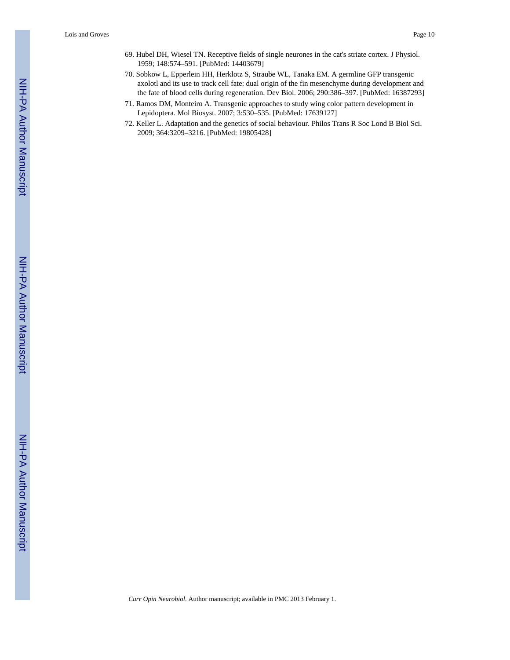- 69. Hubel DH, Wiesel TN. Receptive fields of single neurones in the cat's striate cortex. J Physiol. 1959; 148:574–591. [PubMed: 14403679]
- 70. Sobkow L, Epperlein HH, Herklotz S, Straube WL, Tanaka EM. A germline GFP transgenic axolotl and its use to track cell fate: dual origin of the fin mesenchyme during development and the fate of blood cells during regeneration. Dev Biol. 2006; 290:386–397. [PubMed: 16387293]
- 71. Ramos DM, Monteiro A. Transgenic approaches to study wing color pattern development in Lepidoptera. Mol Biosyst. 2007; 3:530–535. [PubMed: 17639127]
- 72. Keller L. Adaptation and the genetics of social behaviour. Philos Trans R Soc Lond B Biol Sci. 2009; 364:3209–3216. [PubMed: 19805428]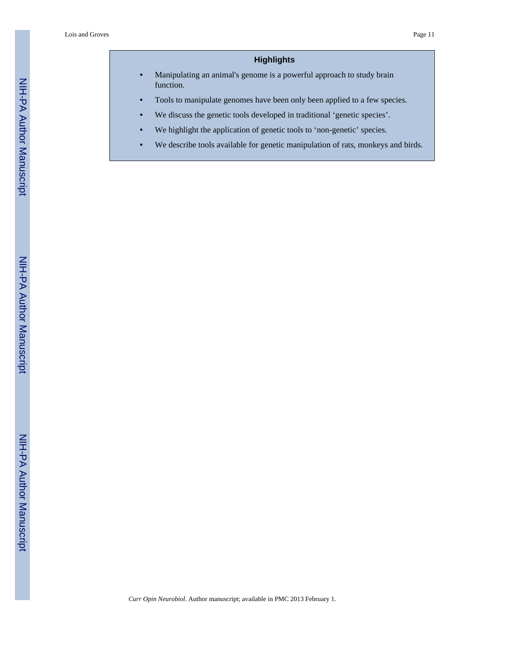#### **Highlights**

- **•** Manipulating an animal's genome is a powerful approach to study brain function.
- **•** Tools to manipulate genomes have been only been applied to a few species.
- We discuss the genetic tools developed in traditional 'genetic species'.
- We highlight the application of genetic tools to 'non-genetic' species.
- **•** We describe tools available for genetic manipulation of rats, monkeys and birds.